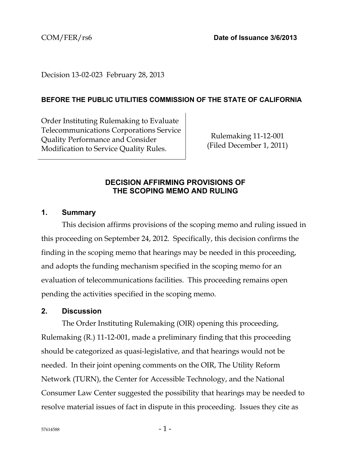## Decision 13-02-023 February 28, 2013

#### **BEFORE THE PUBLIC UTILITIES COMMISSION OF THE STATE OF CALIFORNIA**

Order Instituting Rulemaking to Evaluate Telecommunications Corporations Service Quality Performance and Consider Modification to Service Quality Rules.

Rulemaking 11-12-001 (Filed December 1, 2011)

#### **DECISION AFFIRMING PROVISIONS OF THE SCOPING MEMO AND RULING**

#### **1. Summary**

This decision affirms provisions of the scoping memo and ruling issued in this proceeding on September 24, 2012. Specifically, this decision confirms the finding in the scoping memo that hearings may be needed in this proceeding, and adopts the funding mechanism specified in the scoping memo for an evaluation of telecommunications facilities. This proceeding remains open pending the activities specified in the scoping memo.

#### **2. Discussion**

The Order Instituting Rulemaking (OIR) opening this proceeding, Rulemaking (R.) 11-12-001, made a preliminary finding that this proceeding should be categorized as quasi-legislative, and that hearings would not be needed. In their joint opening comments on the OIR, The Utility Reform Network (TURN), the Center for Accessible Technology, and the National Consumer Law Center suggested the possibility that hearings may be needed to resolve material issues of fact in dispute in this proceeding. Issues they cite as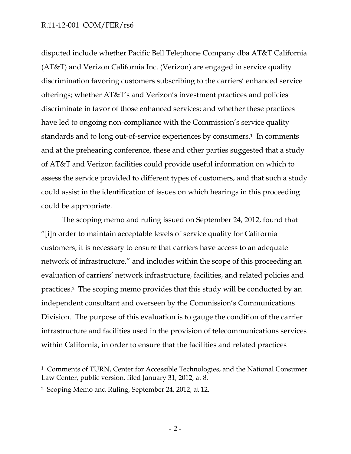disputed include whether Pacific Bell Telephone Company dba AT&T California (AT&T) and Verizon California Inc. (Verizon) are engaged in service quality discrimination favoring customers subscribing to the carriers' enhanced service offerings; whether AT&T's and Verizon's investment practices and policies discriminate in favor of those enhanced services; and whether these practices have led to ongoing non-compliance with the Commission's service quality standards and to long out-of-service experiences by consumers.<sup>1</sup> In comments and at the prehearing conference, these and other parties suggested that a study of AT&T and Verizon facilities could provide useful information on which to assess the service provided to different types of customers, and that such a study could assist in the identification of issues on which hearings in this proceeding could be appropriate.

The scoping memo and ruling issued on September 24, 2012, found that "[i]n order to maintain acceptable levels of service quality for California customers, it is necessary to ensure that carriers have access to an adequate network of infrastructure," and includes within the scope of this proceeding an evaluation of carriers' network infrastructure, facilities, and related policies and practices.2 The scoping memo provides that this study will be conducted by an independent consultant and overseen by the Commission's Communications Division. The purpose of this evaluation is to gauge the condition of the carrier infrastructure and facilities used in the provision of telecommunications services within California, in order to ensure that the facilities and related practices

 $\overline{a}$ 

<sup>&</sup>lt;sup>1</sup> Comments of TURN, Center for Accessible Technologies, and the National Consumer Law Center, public version, filed January 31, 2012, at 8.

<sup>2</sup> Scoping Memo and Ruling, September 24, 2012, at 12.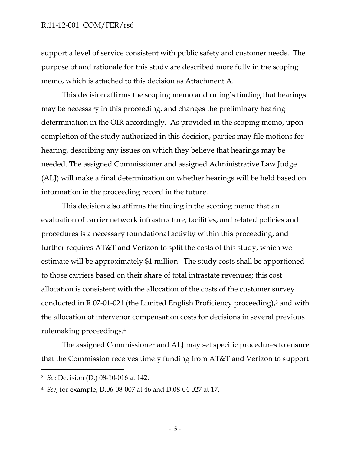support a level of service consistent with public safety and customer needs. The purpose of and rationale for this study are described more fully in the scoping memo, which is attached to this decision as Attachment A.

This decision affirms the scoping memo and ruling's finding that hearings may be necessary in this proceeding, and changes the preliminary hearing determination in the OIR accordingly. As provided in the scoping memo, upon completion of the study authorized in this decision, parties may file motions for hearing, describing any issues on which they believe that hearings may be needed. The assigned Commissioner and assigned Administrative Law Judge (ALJ) will make a final determination on whether hearings will be held based on information in the proceeding record in the future.

This decision also affirms the finding in the scoping memo that an evaluation of carrier network infrastructure, facilities, and related policies and procedures is a necessary foundational activity within this proceeding, and further requires AT&T and Verizon to split the costs of this study, which we estimate will be approximately \$1 million. The study costs shall be apportioned to those carriers based on their share of total intrastate revenues; this cost allocation is consistent with the allocation of the costs of the customer survey conducted in R.07-01-021 (the Limited English Proficiency proceeding), $3$  and with the allocation of intervenor compensation costs for decisions in several previous rulemaking proceedings.4

The assigned Commissioner and ALJ may set specific procedures to ensure that the Commission receives timely funding from AT&T and Verizon to support

 $\overline{a}$ 

<sup>3</sup> *See* Decision (D.) 08-10-016 at 142.

<sup>4</sup> *See*, for example, D.06-08-007 at 46 and D.08-04-027 at 17.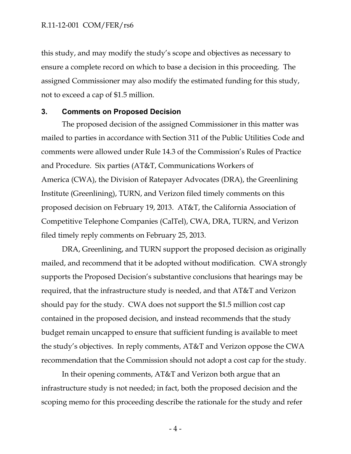this study, and may modify the study's scope and objectives as necessary to ensure a complete record on which to base a decision in this proceeding. The assigned Commissioner may also modify the estimated funding for this study, not to exceed a cap of \$1.5 million.

#### **3. Comments on Proposed Decision**

The proposed decision of the assigned Commissioner in this matter was mailed to parties in accordance with Section 311 of the Public Utilities Code and comments were allowed under Rule 14.3 of the Commission's Rules of Practice and Procedure. Six parties (AT&T, Communications Workers of America (CWA), the Division of Ratepayer Advocates (DRA), the Greenlining Institute (Greenlining), TURN, and Verizon filed timely comments on this proposed decision on February 19, 2013. AT&T, the California Association of Competitive Telephone Companies (CalTel), CWA, DRA, TURN, and Verizon filed timely reply comments on February 25, 2013.

DRA, Greenlining, and TURN support the proposed decision as originally mailed, and recommend that it be adopted without modification. CWA strongly supports the Proposed Decision's substantive conclusions that hearings may be required, that the infrastructure study is needed, and that AT&T and Verizon should pay for the study. CWA does not support the \$1.5 million cost cap contained in the proposed decision, and instead recommends that the study budget remain uncapped to ensure that sufficient funding is available to meet the study's objectives. In reply comments, AT&T and Verizon oppose the CWA recommendation that the Commission should not adopt a cost cap for the study.

In their opening comments, AT&T and Verizon both argue that an infrastructure study is not needed; in fact, both the proposed decision and the scoping memo for this proceeding describe the rationale for the study and refer

 $-4-$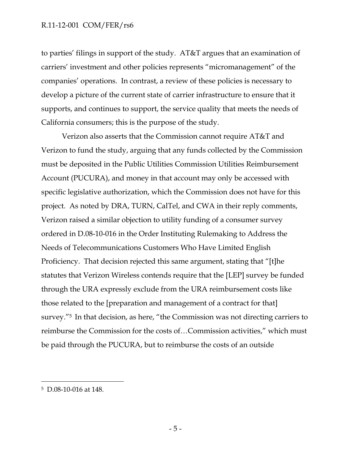to parties' filings in support of the study. AT&T argues that an examination of carriers' investment and other policies represents "micromanagement" of the companies' operations. In contrast, a review of these policies is necessary to develop a picture of the current state of carrier infrastructure to ensure that it supports, and continues to support, the service quality that meets the needs of California consumers; this is the purpose of the study.

Verizon also asserts that the Commission cannot require AT&T and Verizon to fund the study, arguing that any funds collected by the Commission must be deposited in the Public Utilities Commission Utilities Reimbursement Account (PUCURA), and money in that account may only be accessed with specific legislative authorization, which the Commission does not have for this project. As noted by DRA, TURN, CalTel, and CWA in their reply comments, Verizon raised a similar objection to utility funding of a consumer survey ordered in D.08-10-016 in the Order Instituting Rulemaking to Address the Needs of Telecommunications Customers Who Have Limited English Proficiency. That decision rejected this same argument, stating that "[t]he statutes that Verizon Wireless contends require that the [LEP] survey be funded through the URA expressly exclude from the URA reimbursement costs like those related to the [preparation and management of a contract for that] survey."5 In that decision, as here, "the Commission was not directing carriers to reimburse the Commission for the costs of…Commission activities," which must be paid through the PUCURA, but to reimburse the costs of an outside

 $\overline{a}$ 

<sup>5</sup> D.08-10-016 at 148.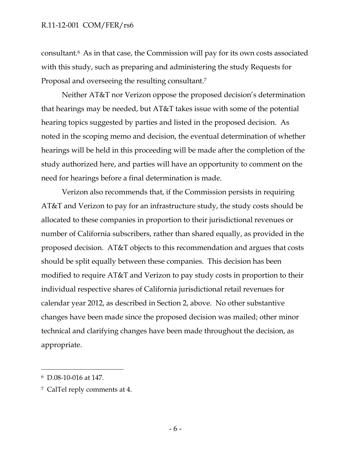consultant.6 As in that case, the Commission will pay for its own costs associated with this study, such as preparing and administering the study Requests for Proposal and overseeing the resulting consultant.7

Neither AT&T nor Verizon oppose the proposed decision's determination that hearings may be needed, but AT&T takes issue with some of the potential hearing topics suggested by parties and listed in the proposed decision. As noted in the scoping memo and decision, the eventual determination of whether hearings will be held in this proceeding will be made after the completion of the study authorized here, and parties will have an opportunity to comment on the need for hearings before a final determination is made.

Verizon also recommends that, if the Commission persists in requiring AT&T and Verizon to pay for an infrastructure study, the study costs should be allocated to these companies in proportion to their jurisdictional revenues or number of California subscribers, rather than shared equally, as provided in the proposed decision. AT&T objects to this recommendation and argues that costs should be split equally between these companies. This decision has been modified to require AT&T and Verizon to pay study costs in proportion to their individual respective shares of California jurisdictional retail revenues for calendar year 2012, as described in Section 2, above. No other substantive changes have been made since the proposed decision was mailed; other minor technical and clarifying changes have been made throughout the decision, as appropriate.

-

<sup>6</sup> D.08-10-016 at 147.

<sup>7</sup> CalTel reply comments at 4.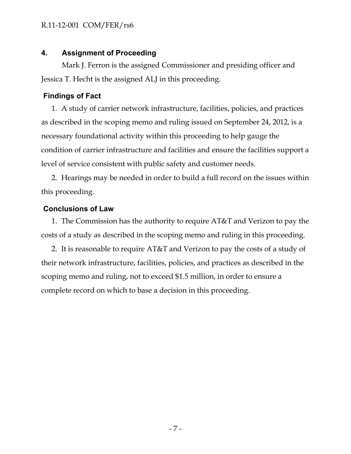# **4. Assignment of Proceeding**

Mark J. Ferron is the assigned Commissioner and presiding officer and Jessica T. Hecht is the assigned ALJ in this proceeding.

# **Findings of Fact**

1. A study of carrier network infrastructure, facilities, policies, and practices as described in the scoping memo and ruling issued on September 24, 2012, is a necessary foundational activity within this proceeding to help gauge the condition of carrier infrastructure and facilities and ensure the facilities support a level of service consistent with public safety and customer needs.

2. Hearings may be needed in order to build a full record on the issues within this proceeding.

# **Conclusions of Law**

1. The Commission has the authority to require AT&T and Verizon to pay the costs of a study as described in the scoping memo and ruling in this proceeding.

2. It is reasonable to require AT&T and Verizon to pay the costs of a study of their network infrastructure, facilities, policies, and practices as described in the scoping memo and ruling, not to exceed \$1.5 million, in order to ensure a complete record on which to base a decision in this proceeding.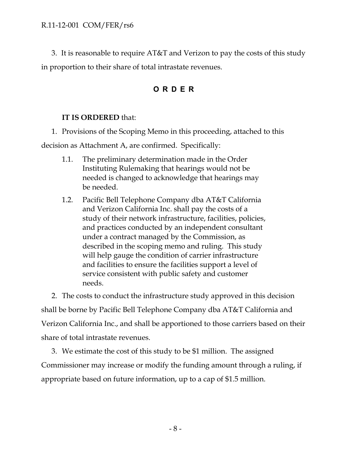3. It is reasonable to require AT&T and Verizon to pay the costs of this study in proportion to their share of total intrastate revenues.

# **ORDER**

# **IT IS ORDERED** that:

1. Provisions of the Scoping Memo in this proceeding, attached to this

decision as Attachment A, are confirmed. Specifically:

- 1.1. The preliminary determination made in the Order Instituting Rulemaking that hearings would not be needed is changed to acknowledge that hearings may be needed.
- 1.2. Pacific Bell Telephone Company dba AT&T California and Verizon California Inc. shall pay the costs of a study of their network infrastructure, facilities, policies, and practices conducted by an independent consultant under a contract managed by the Commission, as described in the scoping memo and ruling. This study will help gauge the condition of carrier infrastructure and facilities to ensure the facilities support a level of service consistent with public safety and customer needs.

2. The costs to conduct the infrastructure study approved in this decision shall be borne by Pacific Bell Telephone Company dba AT&T California and Verizon California Inc., and shall be apportioned to those carriers based on their share of total intrastate revenues.

3. We estimate the cost of this study to be \$1 million. The assigned Commissioner may increase or modify the funding amount through a ruling, if appropriate based on future information, up to a cap of \$1.5 million.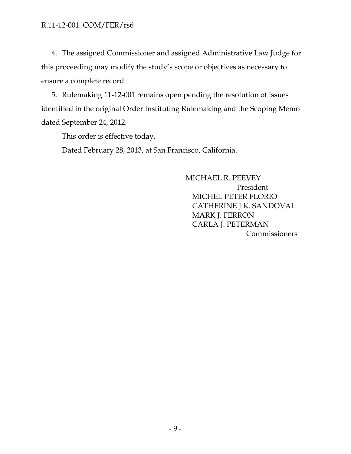4. The assigned Commissioner and assigned Administrative Law Judge for this proceeding may modify the study's scope or objectives as necessary to ensure a complete record.

5. Rulemaking 11-12-001 remains open pending the resolution of issues identified in the original Order Instituting Rulemaking and the Scoping Memo dated September 24, 2012.

This order is effective today.

Dated February 28, 2013, at San Francisco, California.

MICHAEL R. PEEVEY President MICHEL PETER FLORIO CATHERINE J.K. SANDOVAL MARK J. FERRON CARLA J. PETERMAN **Commissioners**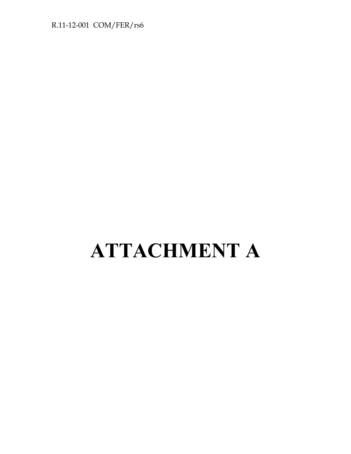# **ATTACHMENT A**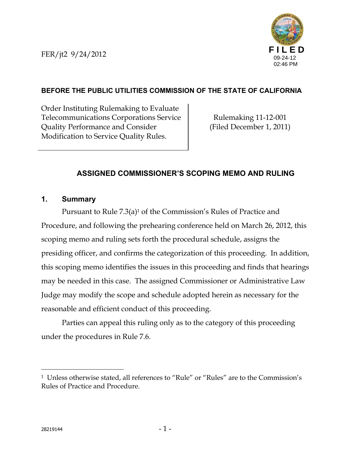FER/jt2 9/24/2012



# **BEFORE THE PUBLIC UTILITIES COMMISSION OF THE STATE OF CALIFORNIA**

Order Instituting Rulemaking to Evaluate Telecommunications Corporations Service Quality Performance and Consider Modification to Service Quality Rules.

Rulemaking 11-12-001 (Filed December 1, 2011)

# **ASSIGNED COMMISSIONER'S SCOPING MEMO AND RULING**

## **1. Summary**

Pursuant to Rule 7.3(a)<sup>1</sup> of the Commission's Rules of Practice and Procedure, and following the prehearing conference held on March 26, 2012, this scoping memo and ruling sets forth the procedural schedule, assigns the presiding officer, and confirms the categorization of this proceeding. In addition, this scoping memo identifies the issues in this proceeding and finds that hearings may be needed in this case. The assigned Commissioner or Administrative Law Judge may modify the scope and schedule adopted herein as necessary for the reasonable and efficient conduct of this proceeding.

Parties can appeal this ruling only as to the category of this proceeding under the procedures in Rule 7.6.

 $\overline{a}$ 

<sup>1</sup> Unless otherwise stated, all references to "Rule" or "Rules" are to the Commission's Rules of Practice and Procedure.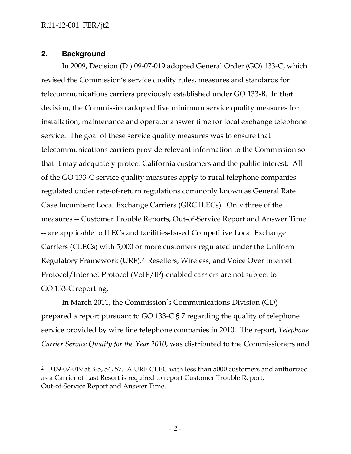## **2. Background**

 $\overline{a}$ 

In 2009, Decision (D.) 09-07-019 adopted General Order (GO) 133-C, which revised the Commission's service quality rules, measures and standards for telecommunications carriers previously established under GO 133-B. In that decision, the Commission adopted five minimum service quality measures for installation, maintenance and operator answer time for local exchange telephone service. The goal of these service quality measures was to ensure that telecommunications carriers provide relevant information to the Commission so that it may adequately protect California customers and the public interest. All of the GO 133-C service quality measures apply to rural telephone companies regulated under rate-of-return regulations commonly known as General Rate Case Incumbent Local Exchange Carriers (GRC ILECs). Only three of the measures -- Customer Trouble Reports, Out-of-Service Report and Answer Time -- are applicable to ILECs and facilities-based Competitive Local Exchange Carriers (CLECs) with 5,000 or more customers regulated under the Uniform Regulatory Framework (URF).2 Resellers, Wireless, and Voice Over Internet Protocol/Internet Protocol (VoIP/IP)-enabled carriers are not subject to GO 133-C reporting.

In March 2011, the Commission's Communications Division (CD) prepared a report pursuant to GO 133-C § 7 regarding the quality of telephone service provided by wire line telephone companies in 2010. The report, *Telephone Carrier Service Quality for the Year 2010*, was distributed to the Commissioners and

<sup>2</sup> D.09-07-019 at 3-5, 54, 57. A URF CLEC with less than 5000 customers and authorized as a Carrier of Last Resort is required to report Customer Trouble Report, Out-of-Service Report and Answer Time.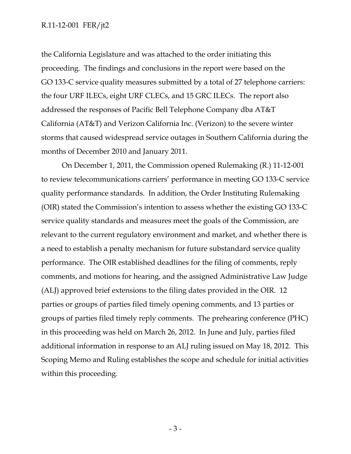the California Legislature and was attached to the order initiating this proceeding. The findings and conclusions in the report were based on the GO 133-C service quality measures submitted by a total of 27 telephone carriers: the four URF ILECs, eight URF CLECs, and 15 GRC ILECs. The report also addressed the responses of Pacific Bell Telephone Company dba AT&T California (AT&T) and Verizon California Inc. (Verizon) to the severe winter storms that caused widespread service outages in Southern California during the months of December 2010 and January 2011.

On December 1, 2011, the Commission opened Rulemaking (R.) 11-12-001 to review telecommunications carriers' performance in meeting GO 133-C service quality performance standards. In addition, the Order Instituting Rulemaking (OIR) stated the Commission's intention to assess whether the existing GO 133-C service quality standards and measures meet the goals of the Commission, are relevant to the current regulatory environment and market, and whether there is a need to establish a penalty mechanism for future substandard service quality performance. The OIR established deadlines for the filing of comments, reply comments, and motions for hearing, and the assigned Administrative Law Judge (ALJ) approved brief extensions to the filing dates provided in the OIR. 12 parties or groups of parties filed timely opening comments, and 13 parties or groups of parties filed timely reply comments. The prehearing conference (PHC) in this proceeding was held on March 26, 2012. In June and July, parties filed additional information in response to an ALJ ruling issued on May 18, 2012. This Scoping Memo and Ruling establishes the scope and schedule for initial activities within this proceeding.

- 3 -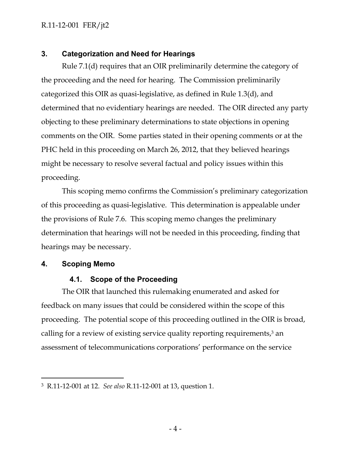#### **3. Categorization and Need for Hearings**

Rule 7.1(d) requires that an OIR preliminarily determine the category of the proceeding and the need for hearing. The Commission preliminarily categorized this OIR as quasi-legislative, as defined in Rule 1.3(d), and determined that no evidentiary hearings are needed. The OIR directed any party objecting to these preliminary determinations to state objections in opening comments on the OIR. Some parties stated in their opening comments or at the PHC held in this proceeding on March 26, 2012, that they believed hearings might be necessary to resolve several factual and policy issues within this proceeding.

This scoping memo confirms the Commission's preliminary categorization of this proceeding as quasi-legislative. This determination is appealable under the provisions of Rule 7.6. This scoping memo changes the preliminary determination that hearings will not be needed in this proceeding, finding that hearings may be necessary.

#### **4. Scoping Memo**

-

#### **4.1. Scope of the Proceeding**

The OIR that launched this rulemaking enumerated and asked for feedback on many issues that could be considered within the scope of this proceeding. The potential scope of this proceeding outlined in the OIR is broad, calling for a review of existing service quality reporting requirements,<sup>3</sup> an assessment of telecommunications corporations' performance on the service

<sup>3</sup> R.11-12-001 at 12. *See also* R.11-12-001 at 13, question 1.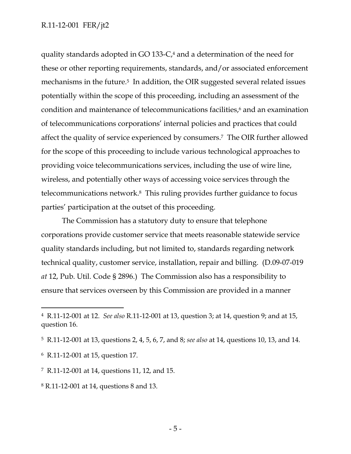quality standards adopted in GO 133-C,<sup>4</sup> and a determination of the need for these or other reporting requirements, standards, and/or associated enforcement mechanisms in the future.<sup>5</sup> In addition, the OIR suggested several related issues potentially within the scope of this proceeding, including an assessment of the condition and maintenance of telecommunications facilities,<sup>6</sup> and an examination of telecommunications corporations' internal policies and practices that could affect the quality of service experienced by consumers.7 The OIR further allowed for the scope of this proceeding to include various technological approaches to providing voice telecommunications services, including the use of wire line, wireless, and potentially other ways of accessing voice services through the telecommunications network.8 This ruling provides further guidance to focus parties' participation at the outset of this proceeding.

The Commission has a statutory duty to ensure that telephone corporations provide customer service that meets reasonable statewide service quality standards including, but not limited to, standards regarding network technical quality, customer service, installation, repair and billing. (D.09-07-019 *at* 12, Pub. Util. Code § 2896.) The Commission also has a responsibility to ensure that services overseen by this Commission are provided in a manner

-

<sup>4</sup> R.11-12-001 at 12. *See also* R.11-12-001 at 13, question 3; at 14, question 9; and at 15, question 16.

<sup>5</sup> R.11-12-001 at 13, questions 2, 4, 5, 6, 7, and 8; *see also* at 14, questions 10, 13, and 14.

<sup>6</sup> R.11-12-001 at 15, question 17.

<sup>7</sup> R.11-12-001 at 14, questions 11, 12, and 15.

<sup>8</sup> R.11-12-001 at 14, questions 8 and 13.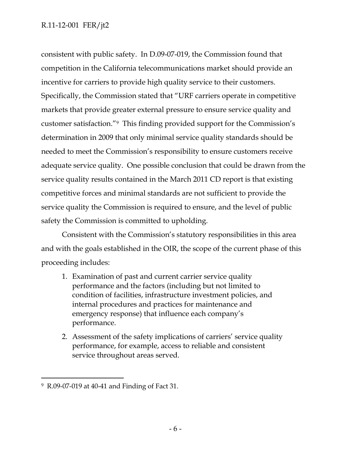consistent with public safety. In D.09-07-019, the Commission found that competition in the California telecommunications market should provide an incentive for carriers to provide high quality service to their customers. Specifically, the Commission stated that "URF carriers operate in competitive markets that provide greater external pressure to ensure service quality and customer satisfaction."9 This finding provided support for the Commission's determination in 2009 that only minimal service quality standards should be needed to meet the Commission's responsibility to ensure customers receive adequate service quality. One possible conclusion that could be drawn from the service quality results contained in the March 2011 CD report is that existing competitive forces and minimal standards are not sufficient to provide the service quality the Commission is required to ensure, and the level of public safety the Commission is committed to upholding.

Consistent with the Commission's statutory responsibilities in this area and with the goals established in the OIR, the scope of the current phase of this proceeding includes:

- 1. Examination of past and current carrier service quality performance and the factors (including but not limited to condition of facilities, infrastructure investment policies, and internal procedures and practices for maintenance and emergency response) that influence each company's performance.
- 2. Assessment of the safety implications of carriers' service quality performance, for example, access to reliable and consistent service throughout areas served.

-

<sup>9</sup> R.09-07-019 at 40-41 and Finding of Fact 31.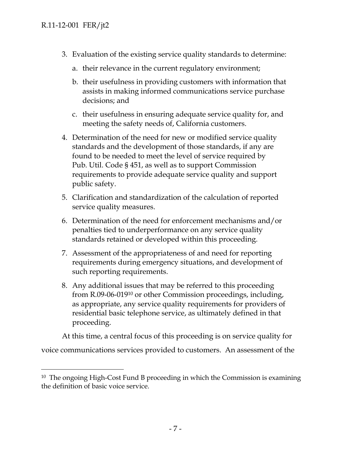-

- 3. Evaluation of the existing service quality standards to determine:
	- a. their relevance in the current regulatory environment;
	- b. their usefulness in providing customers with information that assists in making informed communications service purchase decisions; and
	- c. their usefulness in ensuring adequate service quality for, and meeting the safety needs of, California customers.
- 4. Determination of the need for new or modified service quality standards and the development of those standards, if any are found to be needed to meet the level of service required by Pub. Util. Code § 451, as well as to support Commission requirements to provide adequate service quality and support public safety.
- 5. Clarification and standardization of the calculation of reported service quality measures.
- 6. Determination of the need for enforcement mechanisms and/or penalties tied to underperformance on any service quality standards retained or developed within this proceeding.
- 7. Assessment of the appropriateness of and need for reporting requirements during emergency situations, and development of such reporting requirements.
- 8. Any additional issues that may be referred to this proceeding from R.09-06-01910 or other Commission proceedings, including, as appropriate, any service quality requirements for providers of residential basic telephone service, as ultimately defined in that proceeding.

At this time, a central focus of this proceeding is on service quality for voice communications services provided to customers. An assessment of the

<sup>&</sup>lt;sup>10</sup> The ongoing High-Cost Fund B proceeding in which the Commission is examining the definition of basic voice service.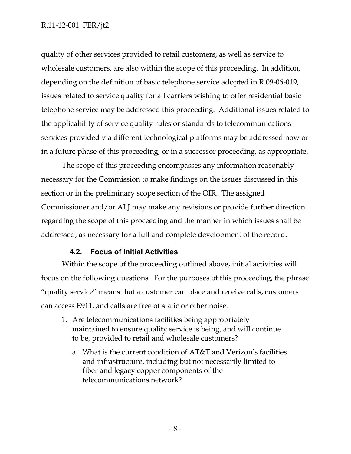quality of other services provided to retail customers, as well as service to wholesale customers, are also within the scope of this proceeding. In addition, depending on the definition of basic telephone service adopted in R.09-06-019, issues related to service quality for all carriers wishing to offer residential basic telephone service may be addressed this proceeding. Additional issues related to the applicability of service quality rules or standards to telecommunications services provided via different technological platforms may be addressed now or in a future phase of this proceeding, or in a successor proceeding, as appropriate.

The scope of this proceeding encompasses any information reasonably necessary for the Commission to make findings on the issues discussed in this section or in the preliminary scope section of the OIR. The assigned Commissioner and/or ALJ may make any revisions or provide further direction regarding the scope of this proceeding and the manner in which issues shall be addressed, as necessary for a full and complete development of the record.

## **4.2. Focus of Initial Activities**

Within the scope of the proceeding outlined above, initial activities will focus on the following questions. For the purposes of this proceeding, the phrase "quality service" means that a customer can place and receive calls, customers can access E911, and calls are free of static or other noise.

- 1. Are telecommunications facilities being appropriately maintained to ensure quality service is being, and will continue to be, provided to retail and wholesale customers?
	- a. What is the current condition of AT&T and Verizon's facilities and infrastructure, including but not necessarily limited to fiber and legacy copper components of the telecommunications network?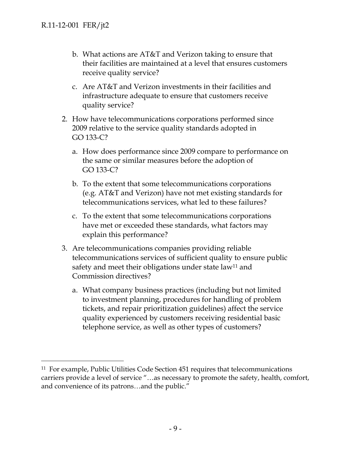-

- b. What actions are AT&T and Verizon taking to ensure that their facilities are maintained at a level that ensures customers receive quality service?
- c. Are AT&T and Verizon investments in their facilities and infrastructure adequate to ensure that customers receive quality service?
- 2. How have telecommunications corporations performed since 2009 relative to the service quality standards adopted in GO 133-C?
	- a. How does performance since 2009 compare to performance on the same or similar measures before the adoption of GO 133-C?
	- b. To the extent that some telecommunications corporations (e.g. AT&T and Verizon) have not met existing standards for telecommunications services, what led to these failures?
	- c. To the extent that some telecommunications corporations have met or exceeded these standards, what factors may explain this performance?
- 3. Are telecommunications companies providing reliable telecommunications services of sufficient quality to ensure public safety and meet their obligations under state law<sup>11</sup> and Commission directives?
	- a. What company business practices (including but not limited to investment planning, procedures for handling of problem tickets, and repair prioritization guidelines) affect the service quality experienced by customers receiving residential basic telephone service, as well as other types of customers?

<sup>11</sup> For example, Public Utilities Code Section 451 requires that telecommunications carriers provide a level of service "…as necessary to promote the safety, health, comfort, and convenience of its patrons…and the public."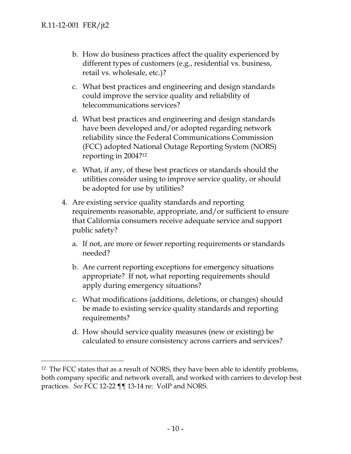-

- b. How do business practices affect the quality experienced by different types of customers (e.g., residential vs. business, retail vs. wholesale, etc.)?
- c. What best practices and engineering and design standards could improve the service quality and reliability of telecommunications services?
- d. What best practices and engineering and design standards have been developed and/or adopted regarding network reliability since the Federal Communications Commission (FCC) adopted National Outage Reporting System (NORS) reporting in 2004?12
- e. What, if any, of these best practices or standards should the utilities consider using to improve service quality, or should be adopted for use by utilities?
- 4. Are existing service quality standards and reporting requirements reasonable, appropriate, and/or sufficient to ensure that California consumers receive adequate service and support public safety?
	- a. If not, are more or fewer reporting requirements or standards needed?
	- b. Are current reporting exceptions for emergency situations appropriate? If not, what reporting requirements should apply during emergency situations?
	- c. What modifications (additions, deletions, or changes) should be made to existing service quality standards and reporting requirements?
	- d. How should service quality measures (new or existing) be calculated to ensure consistency across carriers and services?

<sup>&</sup>lt;sup>12</sup> The FCC states that as a result of NORS, they have been able to identify problems, both company specific and network overall, and worked with carriers to develop best practices. *See* FCC 12-22 ¶¶ 13-14 re: VoIP and NORS.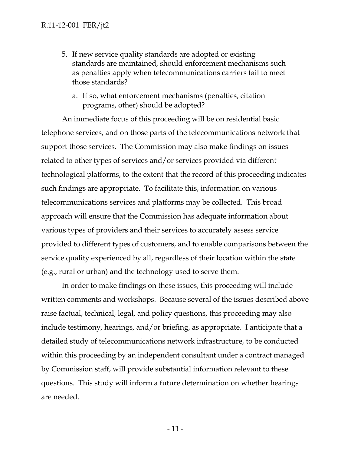- 5. If new service quality standards are adopted or existing standards are maintained, should enforcement mechanisms such as penalties apply when telecommunications carriers fail to meet those standards?
	- a. If so, what enforcement mechanisms (penalties, citation programs, other) should be adopted?

An immediate focus of this proceeding will be on residential basic telephone services, and on those parts of the telecommunications network that support those services. The Commission may also make findings on issues related to other types of services and/or services provided via different technological platforms, to the extent that the record of this proceeding indicates such findings are appropriate. To facilitate this, information on various telecommunications services and platforms may be collected. This broad approach will ensure that the Commission has adequate information about various types of providers and their services to accurately assess service provided to different types of customers, and to enable comparisons between the service quality experienced by all, regardless of their location within the state (e.g., rural or urban) and the technology used to serve them.

In order to make findings on these issues, this proceeding will include written comments and workshops. Because several of the issues described above raise factual, technical, legal, and policy questions, this proceeding may also include testimony, hearings, and/or briefing, as appropriate. I anticipate that a detailed study of telecommunications network infrastructure, to be conducted within this proceeding by an independent consultant under a contract managed by Commission staff, will provide substantial information relevant to these questions. This study will inform a future determination on whether hearings are needed.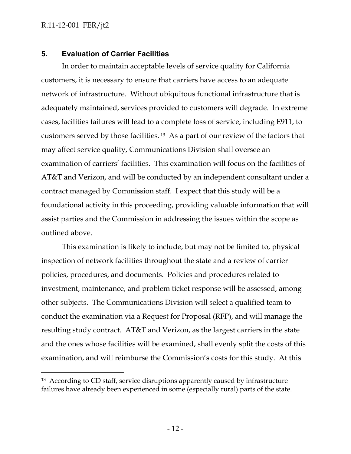$\overline{a}$ 

#### **5. Evaluation of Carrier Facilities**

In order to maintain acceptable levels of service quality for California customers, it is necessary to ensure that carriers have access to an adequate network of infrastructure. Without ubiquitous functional infrastructure that is adequately maintained, services provided to customers will degrade. In extreme cases,facilities failures will lead to a complete loss of service, including E911, to customers served by those facilities. 13 As a part of our review of the factors that may affect service quality, Communications Division shall oversee an examination of carriers' facilities. This examination will focus on the facilities of AT&T and Verizon, and will be conducted by an independent consultant under a contract managed by Commission staff. I expect that this study will be a foundational activity in this proceeding, providing valuable information that will assist parties and the Commission in addressing the issues within the scope as outlined above.

This examination is likely to include, but may not be limited to, physical inspection of network facilities throughout the state and a review of carrier policies, procedures, and documents. Policies and procedures related to investment, maintenance, and problem ticket response will be assessed, among other subjects. The Communications Division will select a qualified team to conduct the examination via a Request for Proposal (RFP), and will manage the resulting study contract. AT&T and Verizon, as the largest carriers in the state and the ones whose facilities will be examined, shall evenly split the costs of this examination, and will reimburse the Commission's costs for this study. At this

<sup>&</sup>lt;sup>13</sup> According to CD staff, service disruptions apparently caused by infrastructure failures have already been experienced in some (especially rural) parts of the state.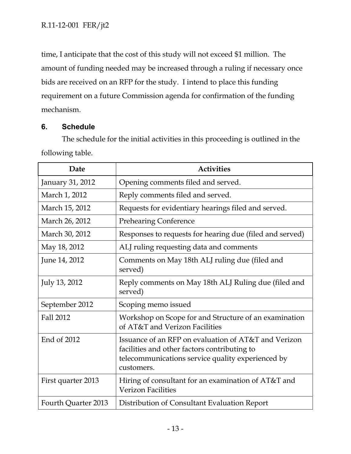time, I anticipate that the cost of this study will not exceed \$1 million. The amount of funding needed may be increased through a ruling if necessary once bids are received on an RFP for the study. I intend to place this funding requirement on a future Commission agenda for confirmation of the funding mechanism.

## **6. Schedule**

The schedule for the initial activities in this proceeding is outlined in the following table.

| Date                | <b>Activities</b>                                                                                                                                                       |
|---------------------|-------------------------------------------------------------------------------------------------------------------------------------------------------------------------|
| January 31, 2012    | Opening comments filed and served.                                                                                                                                      |
| March 1, 2012       | Reply comments filed and served.                                                                                                                                        |
| March 15, 2012      | Requests for evidentiary hearings filed and served.                                                                                                                     |
| March 26, 2012      | <b>Prehearing Conference</b>                                                                                                                                            |
| March 30, 2012      | Responses to requests for hearing due (filed and served)                                                                                                                |
| May 18, 2012        | ALJ ruling requesting data and comments                                                                                                                                 |
| June 14, 2012       | Comments on May 18th ALJ ruling due (filed and<br>served)                                                                                                               |
| July 13, 2012       | Reply comments on May 18th ALJ Ruling due (filed and<br>served)                                                                                                         |
| September 2012      | Scoping memo issued                                                                                                                                                     |
| Fall 2012           | Workshop on Scope for and Structure of an examination<br>of AT&T and Verizon Facilities                                                                                 |
| End of 2012         | Issuance of an RFP on evaluation of AT&T and Verizon<br>facilities and other factors contributing to<br>telecommunications service quality experienced by<br>customers. |
| First quarter 2013  | Hiring of consultant for an examination of AT&T and<br><b>Verizon Facilities</b>                                                                                        |
| Fourth Quarter 2013 | Distribution of Consultant Evaluation Report                                                                                                                            |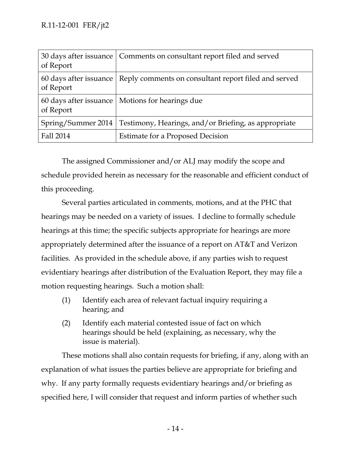| of Report          | 30 days after issuance   Comments on consultant report filed and served       |
|--------------------|-------------------------------------------------------------------------------|
| of Report          | 60 days after issuance   Reply comments on consultant report filed and served |
| of Report          | 60 days after issuance   Motions for hearings due                             |
| Spring/Summer 2014 | Testimony, Hearings, and/or Briefing, as appropriate                          |
| Fall 2014          | <b>Estimate for a Proposed Decision</b>                                       |

The assigned Commissioner and/or ALJ may modify the scope and schedule provided herein as necessary for the reasonable and efficient conduct of this proceeding.

Several parties articulated in comments, motions, and at the PHC that hearings may be needed on a variety of issues. I decline to formally schedule hearings at this time; the specific subjects appropriate for hearings are more appropriately determined after the issuance of a report on AT&T and Verizon facilities. As provided in the schedule above, if any parties wish to request evidentiary hearings after distribution of the Evaluation Report, they may file a motion requesting hearings. Such a motion shall:

- (1) Identify each area of relevant factual inquiry requiring a hearing; and
- (2) Identify each material contested issue of fact on which hearings should be held (explaining, as necessary, why the issue is material).

These motions shall also contain requests for briefing, if any, along with an explanation of what issues the parties believe are appropriate for briefing and why. If any party formally requests evidentiary hearings and/or briefing as specified here, I will consider that request and inform parties of whether such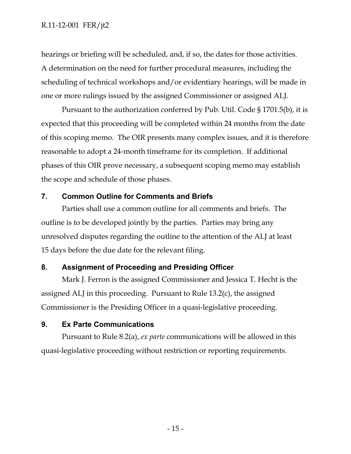hearings or briefing will be scheduled, and, if so, the dates for those activities. A determination on the need for further procedural measures, including the scheduling of technical workshops and/or evidentiary hearings, will be made in one or more rulings issued by the assigned Commissioner or assigned ALJ.

Pursuant to the authorization conferred by Pub. Util. Code § 1701.5(b), it is expected that this proceeding will be completed within 24 months from the date of this scoping memo. The OIR presents many complex issues, and it is therefore reasonable to adopt a 24-month timeframe for its completion. If additional phases of this OIR prove necessary, a subsequent scoping memo may establish the scope and schedule of those phases.

## **7. Common Outline for Comments and Briefs**

Parties shall use a common outline for all comments and briefs. The outline is to be developed jointly by the parties. Parties may bring any unresolved disputes regarding the outline to the attention of the ALJ at least 15 days before the due date for the relevant filing.

## **8. Assignment of Proceeding and Presiding Officer**

Mark J. Ferron is the assigned Commissioner and Jessica T. Hecht is the assigned ALJ in this proceeding. Pursuant to Rule 13.2(c), the assigned Commissioner is the Presiding Officer in a quasi-legislative proceeding.

## **9. Ex Parte Communications**

Pursuant to Rule 8.2(a), *ex parte* communications will be allowed in this quasi-legislative proceeding without restriction or reporting requirements.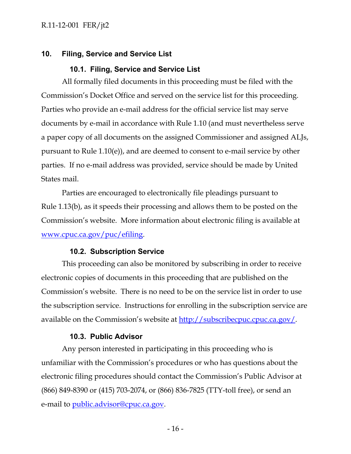## **10. Filing, Service and Service List**

## **10.1. Filing, Service and Service List**

All formally filed documents in this proceeding must be filed with the Commission's Docket Office and served on the service list for this proceeding. Parties who provide an e-mail address for the official service list may serve documents by e-mail in accordance with Rule 1.10 (and must nevertheless serve a paper copy of all documents on the assigned Commissioner and assigned ALJs, pursuant to Rule 1.10(e)), and are deemed to consent to e-mail service by other parties. If no e-mail address was provided, service should be made by United States mail.

Parties are encouraged to electronically file pleadings pursuant to Rule 1.13(b), as it speeds their processing and allows them to be posted on the Commission's website. More information about electronic filing is available at www.cpuc.ca.gov/puc/efiling.

#### **10.2. Subscription Service**

This proceeding can also be monitored by subscribing in order to receive electronic copies of documents in this proceeding that are published on the Commission's website. There is no need to be on the service list in order to use the subscription service. Instructions for enrolling in the subscription service are available on the Commission's website at http://subscribecpuc.cpuc.ca.gov/.

#### **10.3. Public Advisor**

Any person interested in participating in this proceeding who is unfamiliar with the Commission's procedures or who has questions about the electronic filing procedures should contact the Commission's Public Advisor at (866) 849-8390 or (415) 703-2074, or (866) 836-7825 (TTY-toll free), or send an e-mail to public.advisor@cpuc.ca.gov.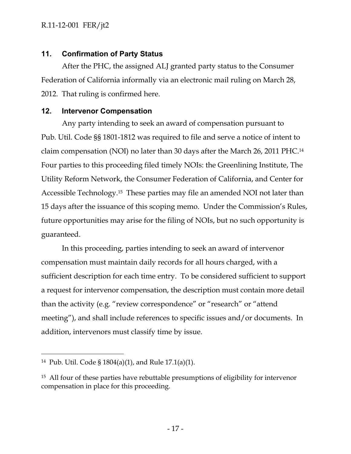## **11. Confirmation of Party Status**

After the PHC, the assigned ALJ granted party status to the Consumer Federation of California informally via an electronic mail ruling on March 28, 2012. That ruling is confirmed here.

## **12. Intervenor Compensation**

Any party intending to seek an award of compensation pursuant to Pub. Util. Code §§ 1801-1812 was required to file and serve a notice of intent to claim compensation (NOI) no later than 30 days after the March 26, 2011 PHC.14 Four parties to this proceeding filed timely NOIs: the Greenlining Institute, The Utility Reform Network, the Consumer Federation of California, and Center for Accessible Technology.15 These parties may file an amended NOI not later than 15 days after the issuance of this scoping memo. Under the Commission's Rules, future opportunities may arise for the filing of NOIs, but no such opportunity is guaranteed.

In this proceeding, parties intending to seek an award of intervenor compensation must maintain daily records for all hours charged, with a sufficient description for each time entry. To be considered sufficient to support a request for intervenor compensation, the description must contain more detail than the activity (e.g. "review correspondence" or "research" or "attend meeting"), and shall include references to specific issues and/or documents. In addition, intervenors must classify time by issue.

 $\overline{a}$ 

<sup>14</sup> Pub. Util. Code § 1804(a)(1), and Rule 17.1(a)(1).

<sup>&</sup>lt;sup>15</sup> All four of these parties have rebuttable presumptions of eligibility for intervenor compensation in place for this proceeding.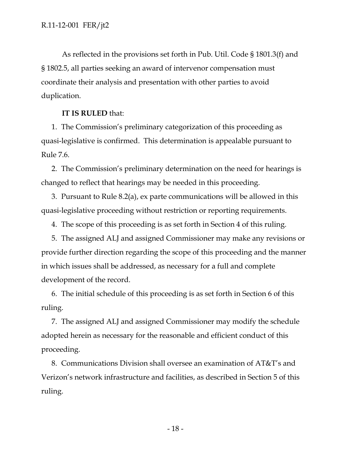As reflected in the provisions set forth in Pub. Util. Code § 1801.3(f) and § 1802.5, all parties seeking an award of intervenor compensation must coordinate their analysis and presentation with other parties to avoid duplication.

#### **IT IS RULED** that:

1. The Commission's preliminary categorization of this proceeding as quasi-legislative is confirmed. This determination is appealable pursuant to Rule 7.6.

2. The Commission's preliminary determination on the need for hearings is changed to reflect that hearings may be needed in this proceeding.

3. Pursuant to Rule 8.2(a), ex parte communications will be allowed in this quasi-legislative proceeding without restriction or reporting requirements.

4. The scope of this proceeding is as set forth in Section 4 of this ruling.

5. The assigned ALJ and assigned Commissioner may make any revisions or provide further direction regarding the scope of this proceeding and the manner in which issues shall be addressed, as necessary for a full and complete development of the record.

6. The initial schedule of this proceeding is as set forth in Section 6 of this ruling.

7. The assigned ALJ and assigned Commissioner may modify the schedule adopted herein as necessary for the reasonable and efficient conduct of this proceeding.

8. Communications Division shall oversee an examination of AT&T's and Verizon's network infrastructure and facilities, as described in Section 5 of this ruling.